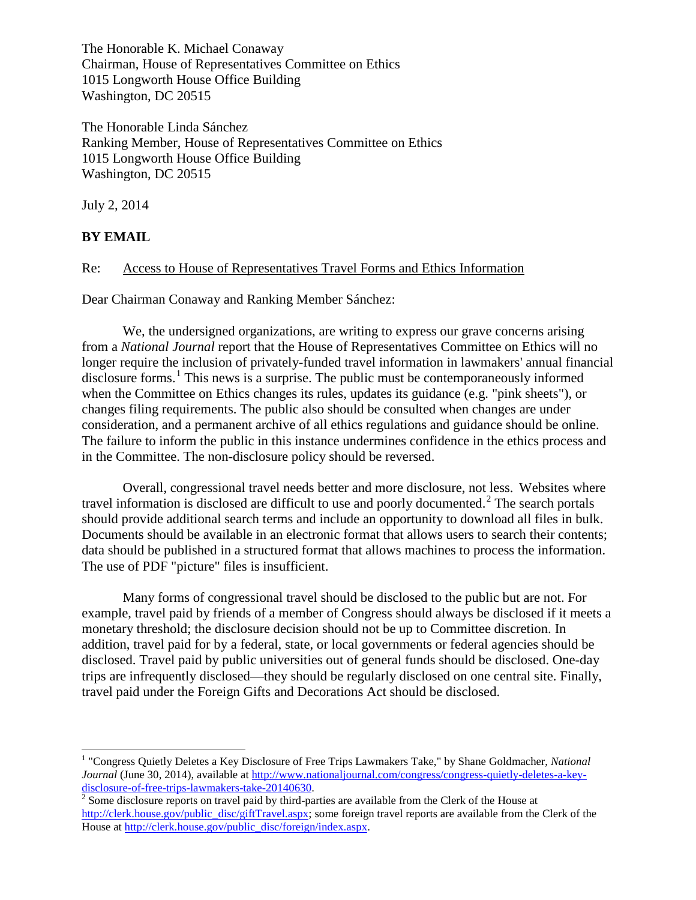The Honorable K. Michael Conaway Chairman, House of Representatives Committee on Ethics 1015 Longworth House Office Building Washington, DC 20515

The Honorable Linda Sánchez Ranking Member, House of Representatives Committee on Ethics 1015 Longworth House Office Building Washington, DC 20515

July 2, 2014

## **BY EMAIL**

 $\overline{\phantom{a}}$ 

## Re: Access to House of Representatives Travel Forms and Ethics Information

Dear Chairman Conaway and Ranking Member Sánchez:

We, the undersigned organizations, are writing to express our grave concerns arising from a *National Journal* report that the House of Representatives Committee on Ethics will no longer require the inclusion of privately-funded travel information in lawmakers' annual financial disclosure forms.<sup>[1](#page-0-0)</sup> This news is a surprise. The public must be contemporaneously informed when the Committee on Ethics changes its rules, updates its guidance (e.g. "pink sheets"), or changes filing requirements. The public also should be consulted when changes are under consideration, and a permanent archive of all ethics regulations and guidance should be online. The failure to inform the public in this instance undermines confidence in the ethics process and in the Committee. The non-disclosure policy should be reversed.

Overall, congressional travel needs better and more disclosure, not less. Websites where travel information is disclosed are difficult to use and poorly documented. [2](#page-0-1) The search portals should provide additional search terms and include an opportunity to download all files in bulk. Documents should be available in an electronic format that allows users to search their contents; data should be published in a structured format that allows machines to process the information. The use of PDF "picture" files is insufficient.

Many forms of congressional travel should be disclosed to the public but are not. For example, travel paid by friends of a member of Congress should always be disclosed if it meets a monetary threshold; the disclosure decision should not be up to Committee discretion. In addition, travel paid for by a federal, state, or local governments or federal agencies should be disclosed. Travel paid by public universities out of general funds should be disclosed. One-day trips are infrequently disclosed—they should be regularly disclosed on one central site. Finally, travel paid under the Foreign Gifts and Decorations Act should be disclosed.

<span id="page-0-0"></span><sup>1</sup> "Congress Quietly Deletes a Key Disclosure of Free Trips Lawmakers Take," by Shane Goldmacher, *National Journal* (June 30, 2014), available a[t http://www.nationaljournal.com/congress/congress-quietly-deletes-a-key](http://www.nationaljournal.com/congress/congress-quietly-deletes-a-key-disclosure-of-free-trips-lawmakers-take-20140630)[disclosure-of-free-trips-lawmakers-take-20140630.](http://www.nationaljournal.com/congress/congress-quietly-deletes-a-key-disclosure-of-free-trips-lawmakers-take-20140630)<br><sup>[2](http://www.nationaljournal.com/congress/congress-quietly-deletes-a-key-disclosure-of-free-trips-lawmakers-take-20140630)</sup> Some disclosure reports on travel paid by third-parties are available from the Clerk of the House at

<span id="page-0-1"></span>[http://clerk.house.gov/public\\_disc/giftTravel.aspx;](http://clerk.house.gov/public_disc/giftTravel.aspx) some foreign travel reports are available from the Clerk of the House at http://clerk.house.gov/public\_disc/foreign/index.aspx.